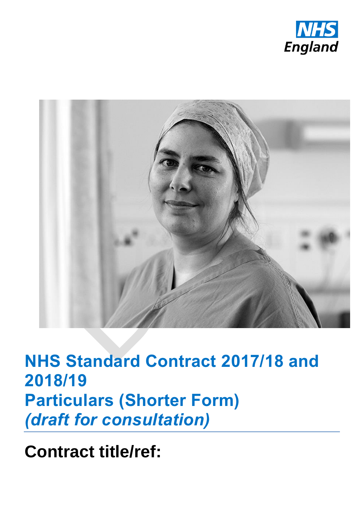



**NHS Standard Contract 2017/18 and 2018/19 Particulars (Shorter Form)** *(draft for consultation)*

**Contract title/ref:**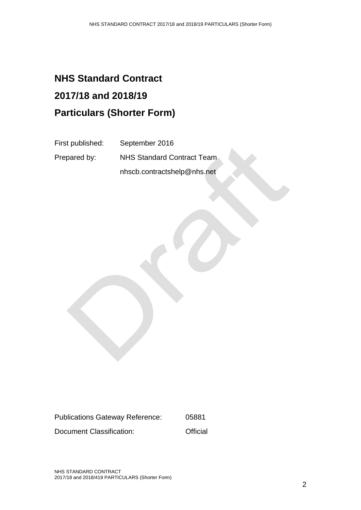# **NHS Standard Contract 2017/18 and 2018/19 Particulars (Shorter Form)**

First published: September 2016

Prepared by: NHS Standard Contract Team nhscb.contractshelp@nhs.net

Publications Gateway Reference: 05881 Document Classification: Controller Controller Controller Controller Controller Controller Controller Controller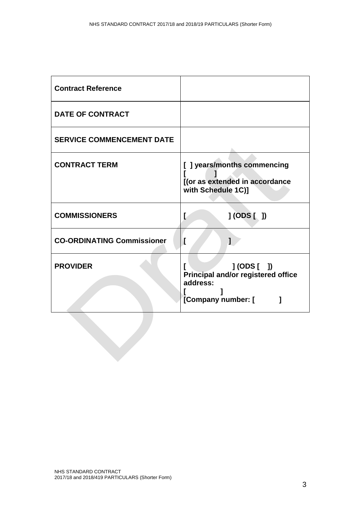| <b>Contract Reference</b>         |                                                                                               |
|-----------------------------------|-----------------------------------------------------------------------------------------------|
| <b>DATE OF CONTRACT</b>           |                                                                                               |
| <b>SERVICE COMMENCEMENT DATE</b>  |                                                                                               |
| <b>CONTRACT TERM</b>              | [ ] years/months commencing<br>[(or as extended in accordance<br>with Schedule 1C)]           |
| <b>COMMISSIONERS</b>              | J (ODS [ )<br>L                                                                               |
| <b>CO-ORDINATING Commissioner</b> | ſ<br>1                                                                                        |
| <b>PROVIDER</b>                   | J(ODS [ )<br><b>Principal and/or registered office</b><br>address:<br>[Company number: [<br>1 |
|                                   |                                                                                               |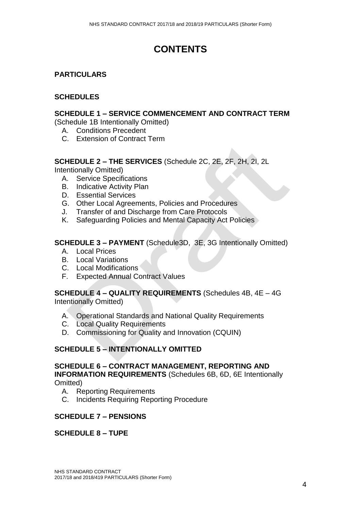# **CONTENTS**

#### **PARTICULARS**

#### **SCHEDULES**

#### **SCHEDULE 1 – SERVICE COMMENCEMENT AND CONTRACT TERM**

(Schedule 1B Intentionally Omitted)

- A. Conditions Precedent
- C. Extension of Contract Term

#### **SCHEDULE 2 – THE SERVICES** (Schedule 2C, 2E, 2F, 2H, 2I, 2L

Intentionally Omitted)

- A. Service Specifications
- B. Indicative Activity Plan
- D. Essential Services
- G. Other Local Agreements, Policies and Procedures
- J. Transfer of and Discharge from Care Protocols
- K. Safeguarding Policies and Mental Capacity Act Policies

#### **SCHEDULE 3 – PAYMENT** (Schedule3D, 3E, 3G Intentionally Omitted)

- A. Local Prices
- B. Local Variations
- C. Local Modifications
- F. Expected Annual Contract Values

#### **SCHEDULE 4 – QUALITY REQUIREMENTS** (Schedules 4B, 4E – 4G Intentionally Omitted)

- A. Operational Standards and National Quality Requirements
- C. Local Quality Requirements
- D. [Commissioning for Quality and Innovation \(CQUIN\)](#page-16-0)

#### **SCHEDULE 5 – INTENTIONALLY OMITTED**

#### **SCHEDULE 6 – CONTRACT MANAGEMENT, REPORTING AND INFORMATION REQUIREMENTS** (Schedules 6B, 6D, 6E Intentionally Omitted)

- A. Reporting Requirements
- C. Incidents Requiring Reporting Procedure

#### **SCHEDULE 7 – PENSIONS**

#### **SCHEDULE 8 – TUPE**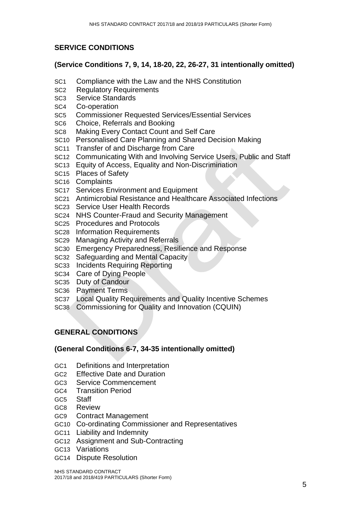#### **SERVICE CONDITIONS**

#### **(Service Conditions 7, 9, 14, 18-20, 22, 26-27, 31 intentionally omitted)**

- SC1 Compliance with the Law and the NHS Constitution
- SC2 Regulatory Requirements
- SC3 Service Standards
- SC4 Co-operation
- SC5 Commissioner Requested Services/Essential Services
- SC6 Choice, Referrals and Booking
- SC8 Making Every Contact Count and Self Care
- SC10 Personalised Care Planning and Shared Decision Making
- SC11 Transfer of and Discharge from Care
- SC12 Communicating With and Involving Service Users, Public and Staff
- SC13 Equity of Access, Equality and Non-Discrimination
- SC15 Places of Safety
- SC16 Complaints
- SC17 Services Environment and Equipment
- SC21 Antimicrobial Resistance and Healthcare Associated Infections
- SC23 Service User Health Records
- SC24 NHS Counter-Fraud and Security Management
- SC25 Procedures and Protocols
- SC28 Information Requirements
- SC29 Managing Activity and Referrals
- SC30 Emergency Preparedness, Resilience and Response
- SC32 Safeguarding and Mental Capacity
- SC33 Incidents Requiring Reporting
- SC34 Care of Dying People
- SC35 Duty of Candour
- SC36 Payment Terms
- SC37 Local Quality Requirements and Quality Incentive Schemes
- SC38 Commissioning for Quality and Innovation (CQUIN)

#### **GENERAL CONDITIONS**

#### **(General Conditions 6-7, 34-35 intentionally omitted)**

- GC1 Definitions and Interpretation
- GC2 Effective Date and Duration
- GC3 Service Commencement
- GC4 Transition Period
- GC5 Staff
- GC8 Review
- GC9 Contract Management
- GC10 Co-ordinating Commissioner and Representatives
- GC11 Liability and Indemnity
- GC12 Assignment and Sub-Contracting
- GC13 Variations
- GC14 Dispute Resolution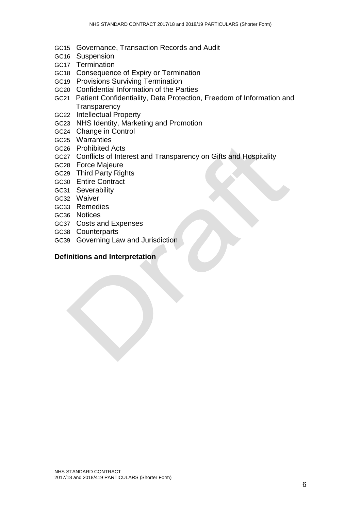- GC15 Governance, Transaction Records and Audit
- GC16 Suspension
- GC17 Termination
- GC18 Consequence of Expiry or Termination
- GC19 Provisions Surviving Termination
- GC20 Confidential Information of the Parties
- GC21 Patient Confidentiality, Data Protection, Freedom of Information and **Transparency**
- GC22 Intellectual Property
- GC23 NHS Identity, Marketing and Promotion
- GC24 Change in Control
- GC25 Warranties
- GC26 Prohibited Acts
- GC27 Conflicts of Interest and Transparency on Gifts and Hospitality
- GC28 Force Majeure
- GC29 Third Party Rights
- GC30 Entire Contract
- GC31 Severability
- GC32 Waiver
- GC33 Remedies
- GC36 Notices
- GC37 Costs and Expenses
- GC38 Counterparts
- GC39 Governing Law and Jurisdiction

#### **Definitions and Interpretation**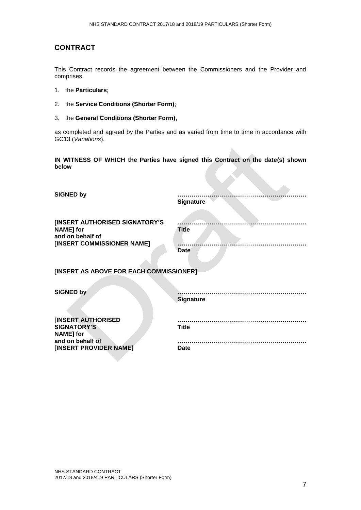#### **CONTRACT**

This Contract records the agreement between the Commissioners and the Provider and comprises

- 1. the **Particulars**;
- 2. the **Service Conditions (Shorter Form)**;
- 3. the **General Conditions (Shorter Form)**,

as completed and agreed by the Parties and as varied from time to time in accordance with GC13 (*Variations*).

**IN WITNESS OF WHICH the Parties have signed this Contract on the date(s) shown below**

| <b>SIGNED by</b>                                                                                     |                             |
|------------------------------------------------------------------------------------------------------|-----------------------------|
|                                                                                                      | <b>Signature</b>            |
| [INSERT AUTHORISED SIGNATORY'S<br><b>NAME]</b> for<br>and on behalf of<br>[INSERT COMMISSIONER NAME] | <b>Title</b><br><b>Date</b> |
| [INSERT AS ABOVE FOR EACH COMMISSIONER]                                                              |                             |
| <b>SIGNED by</b>                                                                                     | <b>Signature</b>            |
| <b>[INSERT AUTHORISED</b><br><b>SIGNATORY'S</b><br><b>NAME]</b> for                                  | <b>Title</b>                |
| and on behalf of<br>[INSERT PROVIDER NAME]                                                           | <b>Date</b>                 |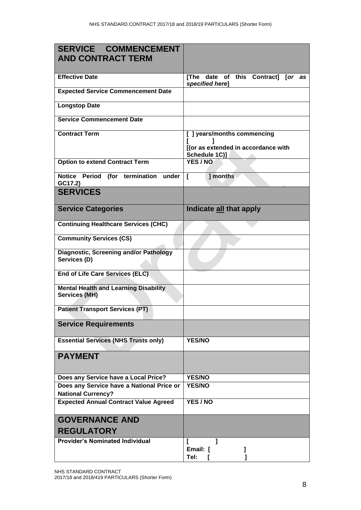| <b>SERVICE COMMENCEMENT</b>                                            |                                                                                     |  |  |  |  |  |
|------------------------------------------------------------------------|-------------------------------------------------------------------------------------|--|--|--|--|--|
| <b>AND CONTRACT TERM</b>                                               |                                                                                     |  |  |  |  |  |
| <b>Effective Date</b>                                                  | [The date of this Contract] [or as<br>specified here]                               |  |  |  |  |  |
| <b>Expected Service Commencement Date</b>                              |                                                                                     |  |  |  |  |  |
| <b>Longstop Date</b>                                                   |                                                                                     |  |  |  |  |  |
| <b>Service Commencement Date</b>                                       |                                                                                     |  |  |  |  |  |
| <b>Contract Term</b>                                                   | [ ] years/months commencing<br>[(or as extended in accordance with<br>Schedule 1C)] |  |  |  |  |  |
| <b>Option to extend Contract Term</b>                                  | YES / NO                                                                            |  |  |  |  |  |
| Notice Period (for termination<br>under<br>GC17.2)                     | ] months<br>L                                                                       |  |  |  |  |  |
| <b>SERVICES</b>                                                        |                                                                                     |  |  |  |  |  |
| <b>Service Categories</b>                                              | Indicate all that apply                                                             |  |  |  |  |  |
| <b>Continuing Healthcare Services (CHC)</b>                            |                                                                                     |  |  |  |  |  |
| <b>Community Services (CS)</b>                                         |                                                                                     |  |  |  |  |  |
| <b>Diagnostic, Screening and/or Pathology</b><br>Services (D)          |                                                                                     |  |  |  |  |  |
| End of Life Care Services (ELC).                                       |                                                                                     |  |  |  |  |  |
| <b>Mental Health and Learning Disability</b><br><b>Services (MH)</b>   |                                                                                     |  |  |  |  |  |
| <b>Patient Transport Services (PT)</b>                                 |                                                                                     |  |  |  |  |  |
| <b>Service Requirements</b>                                            |                                                                                     |  |  |  |  |  |
| <b>Essential Services (NHS Trusts only)</b>                            | <b>YES/NO</b>                                                                       |  |  |  |  |  |
| <b>PAYMENT</b>                                                         |                                                                                     |  |  |  |  |  |
| Does any Service have a Local Price?                                   | <b>YES/NO</b>                                                                       |  |  |  |  |  |
| Does any Service have a National Price or<br><b>National Currency?</b> | <b>YES/NO</b>                                                                       |  |  |  |  |  |
| <b>Expected Annual Contract Value Agreed</b>                           | YES / NO                                                                            |  |  |  |  |  |
| <b>GOVERNANCE AND</b>                                                  |                                                                                     |  |  |  |  |  |
| <b>REGULATORY</b>                                                      |                                                                                     |  |  |  |  |  |
| <b>Provider's Nominated Individual</b>                                 | Email: [                                                                            |  |  |  |  |  |
|                                                                        | Tel:                                                                                |  |  |  |  |  |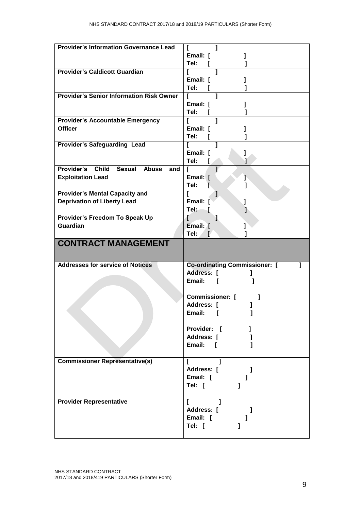| <b>Provider's Information Governance Lead</b>   |                                      |
|-------------------------------------------------|--------------------------------------|
|                                                 |                                      |
|                                                 | Email: [                             |
|                                                 | Tel:                                 |
| <b>Provider's Caldicott Guardian</b>            | 1<br>L                               |
|                                                 | Email: [                             |
|                                                 |                                      |
|                                                 | Tel:                                 |
| <b>Provider's Senior Information Risk Owner</b> |                                      |
|                                                 | Email: [                             |
|                                                 | Tel:<br>$\mathbf{I}$                 |
|                                                 | 1                                    |
| <b>Provider's Accountable Emergency</b>         | $\mathbf{r}$                         |
| <b>Officer</b>                                  | Email: [                             |
|                                                 | Tel:                                 |
| <b>Provider's Safeguarding Lead</b>             | L<br>1                               |
|                                                 |                                      |
|                                                 | Email: [                             |
|                                                 | Tel:                                 |
| Provider's Child Sexual Abuse<br>and            |                                      |
| <b>Exploitation Lead</b>                        | Email: [<br>ŀ                        |
|                                                 |                                      |
|                                                 | Tel:<br>F.                           |
| <b>Provider's Mental Capacity and</b>           | ı<br>L                               |
| <b>Deprivation of Liberty Lead</b>              | Email: [                             |
|                                                 | Tel:                                 |
|                                                 |                                      |
| Provider's Freedom To Speak Up                  | 1                                    |
|                                                 |                                      |
| <b>Guardian</b>                                 | Email: [                             |
|                                                 | Tel:<br>E                            |
| <b>CONTRACT MANAGEMENT</b>                      |                                      |
| <b>Addresses for service of Notices</b>         | <b>Co-ordinating Commissioner:</b> [ |
|                                                 |                                      |
|                                                 | Address: [                           |
|                                                 | Email:<br>ſ                          |
|                                                 |                                      |
|                                                 | <b>Commissioner:</b> [<br>1          |
|                                                 | Address: [                           |
|                                                 |                                      |
|                                                 | Email: [<br>I                        |
|                                                 |                                      |
|                                                 | Provider: [<br>1                     |
|                                                 | Address: [<br>-1                     |
|                                                 |                                      |
|                                                 | Email: [                             |
|                                                 |                                      |
| <b>Commissioner Representative(s)</b>           | L                                    |
|                                                 | Address: [<br>1                      |
|                                                 | Email: [<br>1                        |
|                                                 |                                      |
|                                                 | Tel: [<br>1                          |
|                                                 |                                      |
| <b>Provider Representative</b>                  | L                                    |
|                                                 | Address: [<br>-1                     |
|                                                 | Email: [                             |
|                                                 |                                      |
|                                                 | Tel: [                               |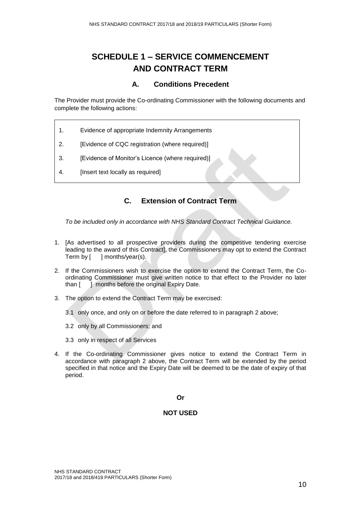# **SCHEDULE 1 – SERVICE COMMENCEMENT AND CONTRACT TERM**

#### **A. Conditions Precedent**

The Provider must provide the Co-ordinating Commissioner with the following documents and complete the following actions:

- 1. Evidence of appropriate Indemnity Arrangements
- 2. [Evidence of CQC registration (where required)]
- 3. **IEvidence of Monitor's Licence (where required)**
- 4. [Insert text locally as required]

#### **C. Extension of Contract Term**

*To be included only in accordance with NHS Standard Contract Technical Guidance.*

- 1. [As advertised to all prospective providers during the competitive tendering exercise leading to the award of this Contract], the Commissioners may opt to extend the Contract Term by [ ] months/year(s).
- 2. If the Commissioners wish to exercise the option to extend the Contract Term, the Coordinating Commissioner must give written notice to that effect to the Provider no later than [ ] months before the original Expiry Date.
- 3. The option to extend the Contract Term may be exercised:
	- 3.1 only once, and only on or before the date referred to in paragraph 2 above;
	- 3.2 only by all Commissioners; and
	- 3.3 only in respect of all Services
- 4. If the Co-ordinating Commissioner gives notice to extend the Contract Term in accordance with paragraph 2 above, the Contract Term will be extended by the period specified in that notice and the Expiry Date will be deemed to be the date of expiry of that period.

#### **Or**

#### **NOT USED**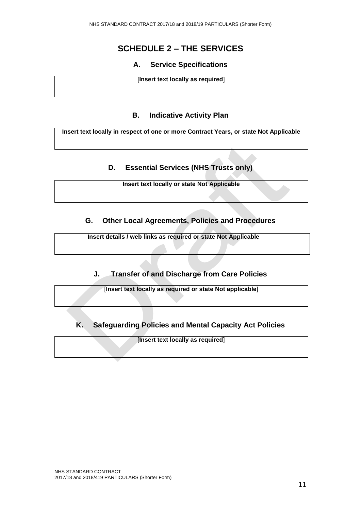# **SCHEDULE 2 – THE SERVICES**

#### **A. Service Specifications**

[**Insert text locally as required**]

#### **B. Indicative Activity Plan**

**Insert text locally in respect of one or more Contract Years, or state Not Applicable**

#### **D. Essential Services (NHS Trusts only)**

**Insert text locally or state Not Applicable**

#### **G. Other Local Agreements, Policies and Procedures**

**Insert details / web links as required or state Not Applicable**

#### **J. Transfer of and Discharge from Care Policies**

[**Insert text locally as required or state Not applicable**]

**K. Safeguarding Policies and Mental Capacity Act Policies**

[**Insert text locally as required**]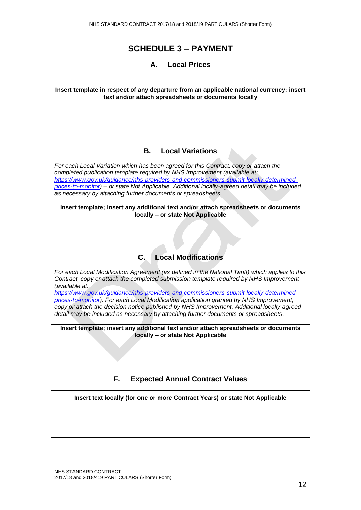### **SCHEDULE 3 – PAYMENT**

#### **A. Local Prices**

**Insert template in respect of any departure from an applicable national currency; insert text and/or attach spreadsheets or documents locally** 

#### **B. Local Variations**

*For each Local Variation which has been agreed for this Contract, copy or attach the completed publication template required by NHS Improvement (available at: [https://www.gov.uk/guidance/nhs-providers-and-commissioners-submit-locally-determined](https://www.gov.uk/guidance/nhs-providers-and-commissioners-submit-locally-determined-prices-to-monitor)[prices-to-monitor\)](https://www.gov.uk/guidance/nhs-providers-and-commissioners-submit-locally-determined-prices-to-monitor) – or state Not Applicable. Additional locally-agreed detail may be included as necessary by attaching further documents or spreadsheets.*

**Insert template; insert any additional text and/or attach spreadsheets or documents locally – or state Not Applicable**

#### **C. Local Modifications**

*For each Local Modification Agreement (as defined in the National Tariff) which applies to this Contract, copy or attach the completed submission template required by NHS Improvement (available at:*

*[https://www.gov.uk/guidance/nhs-providers-and-commissioners-submit-locally-determined](https://www.gov.uk/guidance/nhs-providers-and-commissioners-submit-locally-determined-prices-to-monitor)[prices-to-monitor\)](https://www.gov.uk/guidance/nhs-providers-and-commissioners-submit-locally-determined-prices-to-monitor). For each Local Modification application granted by NHS Improvement, copy or attach the decision notice published by NHS Improvement. Additional locally-agreed detail may be included as necessary by attaching further documents or spreadsheets*.

**Insert template; insert any additional text and/or attach spreadsheets or documents locally – or state Not Applicable**

#### **F. Expected Annual Contract Values**

**Insert text locally (for one or more Contract Years) or state Not Applicable**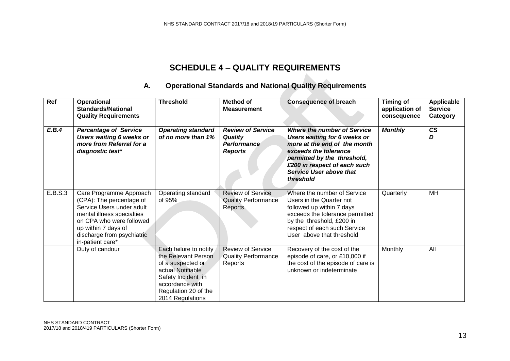# **SCHEDULE 4 – QUALITY REQUIREMENTS**

# **A. Operational Standards and National Quality Requirements**

| Ref     | Operational<br><b>Standards/National</b><br><b>Quality Requirements</b>                                                                                                                                             | <b>Threshold</b>                                                                                                                                                             | <b>Method of</b><br><b>Measurement</b>                                                                                                                                                                                                                                                                                   | <b>Consequence of breach</b>                                                                                                                                                                                      | Timing of<br>application of<br>consequence | Applicable<br><b>Service</b><br>Category |
|---------|---------------------------------------------------------------------------------------------------------------------------------------------------------------------------------------------------------------------|------------------------------------------------------------------------------------------------------------------------------------------------------------------------------|--------------------------------------------------------------------------------------------------------------------------------------------------------------------------------------------------------------------------------------------------------------------------------------------------------------------------|-------------------------------------------------------------------------------------------------------------------------------------------------------------------------------------------------------------------|--------------------------------------------|------------------------------------------|
| E.B.4   | <b>Percentage of Service</b><br>Users waiting 6 weeks or<br>more from Referral for a<br>diagnostic test*                                                                                                            | <b>Operating standard</b><br>of no more than 1%                                                                                                                              | <b>Review of Service</b><br><b>Where the number of Service</b><br>Users waiting for 6 weeks or<br><b>Quality</b><br>more at the end of the month<br>Performance<br><b>Reports</b><br>exceeds the tolerance<br>permitted by the threshold,<br>£200 in respect of each such<br><b>Service User above that</b><br>threshold |                                                                                                                                                                                                                   | <b>Monthly</b>                             | $\mathsf{CS}\phantom{0}$<br>D            |
| E.B.S.3 | Care Programme Approach<br>(CPA): The percentage of<br>Service Users under adult<br>mental illness specialties<br>on CPA who were followed<br>up within 7 days of<br>discharge from psychiatric<br>in-patient care* | Operating standard<br>of 95%                                                                                                                                                 | <b>Review of Service</b><br><b>Quality Performance</b><br>Reports                                                                                                                                                                                                                                                        | Where the number of Service<br>Users in the Quarter not<br>followed up within 7 days<br>exceeds the tolerance permitted<br>by the threshold, £200 in<br>respect of each such Service<br>User above that threshold | Quarterly                                  | MH                                       |
|         | Duty of candour                                                                                                                                                                                                     | Each failure to notify<br>the Relevant Person<br>of a suspected or<br>actual Notifiable<br>Safety Incident in<br>accordance with<br>Regulation 20 of the<br>2014 Regulations | <b>Review of Service</b><br><b>Quality Performance</b><br>Reports                                                                                                                                                                                                                                                        | Recovery of the cost of the<br>episode of care, or £10,000 if<br>the cost of the episode of care is<br>unknown or indeterminate                                                                                   | Monthly                                    | All                                      |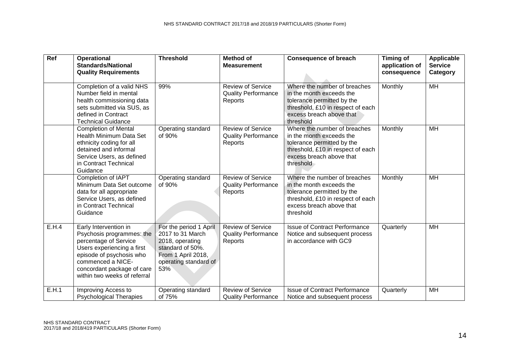| <b>Ref</b> | <b>Operational</b><br><b>Standards/National</b><br><b>Quality Requirements</b>                                                                                                                                                                                                                                                                                                                                         | <b>Threshold</b>                                                                                                                                                                                                                                                          | <b>Method of</b><br><b>Measurement</b>                            | <b>Consequence of breach</b>                                                                                                                                         | Timing of<br>application of<br>consequence | Applicable<br><b>Service</b><br>Category |
|------------|------------------------------------------------------------------------------------------------------------------------------------------------------------------------------------------------------------------------------------------------------------------------------------------------------------------------------------------------------------------------------------------------------------------------|---------------------------------------------------------------------------------------------------------------------------------------------------------------------------------------------------------------------------------------------------------------------------|-------------------------------------------------------------------|----------------------------------------------------------------------------------------------------------------------------------------------------------------------|--------------------------------------------|------------------------------------------|
|            | Where the number of breaches<br>Completion of a valid NHS<br>99%<br><b>Review of Service</b><br>Number field in mental<br><b>Quality Performance</b><br>in the month exceeds the<br>health commissioning data<br>tolerance permitted by the<br>Reports<br>sets submitted via SUS, as<br>threshold, £10 in respect of each<br>defined in Contract<br>excess breach above that<br>threshold<br><b>Technical Guidance</b> |                                                                                                                                                                                                                                                                           | Monthly                                                           | MH                                                                                                                                                                   |                                            |                                          |
|            | <b>Completion of Mental</b><br>Health Minimum Data Set<br>ethnicity coding for all<br>detained and informal<br>Service Users, as defined<br>in Contract Technical<br>Guidance                                                                                                                                                                                                                                          | Where the number of breaches<br>Operating standard<br><b>Review of Service</b><br>of 90%<br>in the month exceeds the<br><b>Quality Performance</b><br>tolerance permitted by the<br>Reports<br>threshold, £10 in respect of each<br>excess breach above that<br>threshold |                                                                   | Monthly                                                                                                                                                              | MH                                         |                                          |
|            | Completion of IAPT<br>Minimum Data Set outcome<br>data for all appropriate<br>Service Users, as defined<br>in Contract Technical<br>Guidance                                                                                                                                                                                                                                                                           | Operating standard<br>of 90%                                                                                                                                                                                                                                              | <b>Review of Service</b><br><b>Quality Performance</b><br>Reports | Where the number of breaches<br>in the month exceeds the<br>tolerance permitted by the<br>threshold, £10 in respect of each<br>excess breach above that<br>threshold | Monthly                                    | MH                                       |
| E.H.4      | Early Intervention in<br>Psychosis programmes: the<br>percentage of Service<br>Users experiencing a first<br>episode of psychosis who<br>commenced a NICE-<br>concordant package of care<br>within two weeks of referral                                                                                                                                                                                               | For the period 1 April<br>2017 to 31 March<br>2018, operating<br>standard of 50%.<br>From 1 April 2018,<br>operating standard of<br>53%                                                                                                                                   | <b>Review of Service</b><br><b>Quality Performance</b><br>Reports | <b>Issue of Contract Performance</b><br>Notice and subsequent process<br>in accordance with GC9                                                                      | Quarterly                                  | MH                                       |
| E.H.1      | Improving Access to<br><b>Psychological Therapies</b>                                                                                                                                                                                                                                                                                                                                                                  | Operating standard<br>of 75%                                                                                                                                                                                                                                              | <b>Review of Service</b><br><b>Quality Performance</b>            | <b>Issue of Contract Performance</b><br>Notice and subsequent process                                                                                                | Quarterly                                  | MH                                       |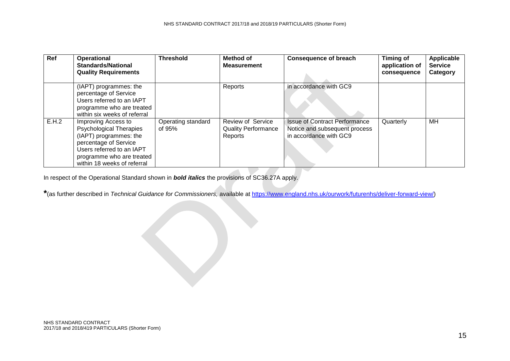| Ref   | <b>Operational</b><br><b>Standards/National</b><br><b>Quality Requirements</b>                                                                                                                    | <b>Threshold</b>             | Method of<br><b>Measurement</b>                                   | <b>Consequence of breach</b>                                                                    | <b>Timing of</b><br>application of<br>consequence | Applicable<br><b>Service</b><br>Category |
|-------|---------------------------------------------------------------------------------------------------------------------------------------------------------------------------------------------------|------------------------------|-------------------------------------------------------------------|-------------------------------------------------------------------------------------------------|---------------------------------------------------|------------------------------------------|
|       | (IAPT) programmes: the<br>percentage of Service<br>Users referred to an IAPT<br>programme who are treated<br>within six weeks of referral                                                         |                              | Reports                                                           | in accordance with GC9                                                                          |                                                   |                                          |
| E.H.2 | Improving Access to<br><b>Psychological Therapies</b><br>(IAPT) programmes: the<br>percentage of Service<br>Users referred to an IAPT<br>programme who are treated<br>within 18 weeks of referral | Operating standard<br>of 95% | <b>Review of Service</b><br><b>Quality Performance</b><br>Reports | <b>Issue of Contract Performance</b><br>Notice and subsequent process<br>in accordance with GC9 | Quarterly                                         | МH                                       |

In respect of the Operational Standard shown in *bold italics* the provisions of SC36.27A apply.

**\***(as further described in *Technical Guidance for Commissioners,* available at [https://www.england.nhs.uk/ourwork/futurenhs/deliver-forward-view/\)](https://www.england.nhs.uk/ourwork/futurenhs/deliver-forward-view/)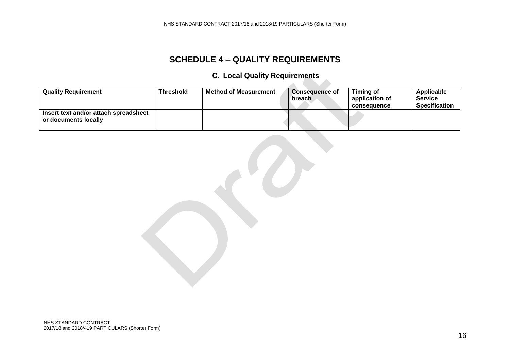# **SCHEDULE 4 – QUALITY REQUIREMENTS**

# **C. Local Quality Requirements**

 $\mathcal{L}(\mathcal{L})$ 

| <b>Quality Requirement</b>                                    | <b>Threshold</b> | <b>Method of Measurement</b> | <b>Consequence of</b><br>breach | Timing of<br>application of<br>consequence | Applicable<br><b>Service</b><br><b>Specification</b> |
|---------------------------------------------------------------|------------------|------------------------------|---------------------------------|--------------------------------------------|------------------------------------------------------|
| Insert text and/or attach spreadsheet<br>or documents locally |                  |                              |                                 |                                            |                                                      |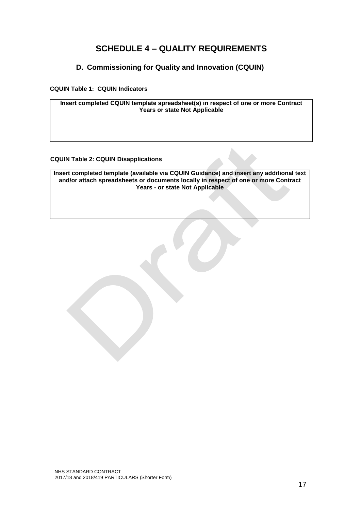# **SCHEDULE 4 – QUALITY REQUIREMENTS**

#### **D. Commissioning for Quality and Innovation (CQUIN)**

<span id="page-16-0"></span>**CQUIN Table 1: CQUIN Indicators**

**Insert completed CQUIN template spreadsheet(s) in respect of one or more Contract Years or state Not Applicable**

#### **CQUIN Table 2: CQUIN Disapplications**

**Insert completed template (available via CQUIN Guidance) and insert any additional text and/or attach spreadsheets or documents locally in respect of one or more Contract Years - or state Not Applicable**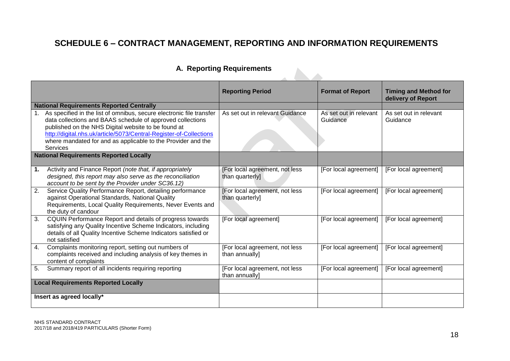# **SCHEDULE 6 – CONTRACT MANAGEMENT, REPORTING AND INFORMATION REQUIREMENTS**

# **A. Reporting Requirements**

|    | A. Reporting Requirements                                                                                                                                                                                                                                                                                                                                                                             |                                                   |                                    |                                                    |  |
|----|-------------------------------------------------------------------------------------------------------------------------------------------------------------------------------------------------------------------------------------------------------------------------------------------------------------------------------------------------------------------------------------------------------|---------------------------------------------------|------------------------------------|----------------------------------------------------|--|
|    |                                                                                                                                                                                                                                                                                                                                                                                                       | <b>Reporting Period</b>                           | <b>Format of Report</b>            | <b>Timing and Method for</b><br>delivery of Report |  |
|    | <b>National Requirements Reported Centrally</b><br>As specified in the list of omnibus, secure electronic file transfer<br>data collections and BAAS schedule of approved collections<br>published on the NHS Digital website to be found at<br>http://digital.nhs.uk/article/5073/Central-Register-of-Collections<br>where mandated for and as applicable to the Provider and the<br><b>Services</b> | As set out in relevant Guidance                   | As set out in relevant<br>Guidance | As set out in relevant<br>Guidance                 |  |
|    | <b>National Requirements Reported Locally</b>                                                                                                                                                                                                                                                                                                                                                         |                                                   |                                    |                                                    |  |
| 1. | Activity and Finance Report (note that, if appropriately<br>designed, this report may also serve as the reconciliation<br>account to be sent by the Provider under SC36.12)                                                                                                                                                                                                                           | [For local agreement, not less<br>than quarterly] | [For local agreement]              | [For local agreement]                              |  |
| 2. | Service Quality Performance Report, detailing performance<br>against Operational Standards, National Quality<br>Requirements, Local Quality Requirements, Never Events and<br>the duty of candour                                                                                                                                                                                                     | [For local agreement, not less<br>than quarterly] | [For local agreement]              | [For local agreement]                              |  |
| 3. | CQUIN Performance Report and details of progress towards<br>satisfying any Quality Incentive Scheme Indicators, including<br>details of all Quality Incentive Scheme Indicators satisfied or<br>not satisfied                                                                                                                                                                                         | [For local agreement]                             | [For local agreement]              | [For local agreement]                              |  |
| 4. | Complaints monitoring report, setting out numbers of<br>complaints received and including analysis of key themes in<br>content of complaints                                                                                                                                                                                                                                                          | [For local agreement, not less<br>than annually]  | [For local agreement]              | [For local agreement]                              |  |
| 5. | Summary report of all incidents requiring reporting                                                                                                                                                                                                                                                                                                                                                   | [For local agreement, not less<br>than annually]  | [For local agreement]              | [For local agreement]                              |  |
|    | <b>Local Requirements Reported Locally</b>                                                                                                                                                                                                                                                                                                                                                            |                                                   |                                    |                                                    |  |
|    | Insert as agreed locally*                                                                                                                                                                                                                                                                                                                                                                             |                                                   |                                    |                                                    |  |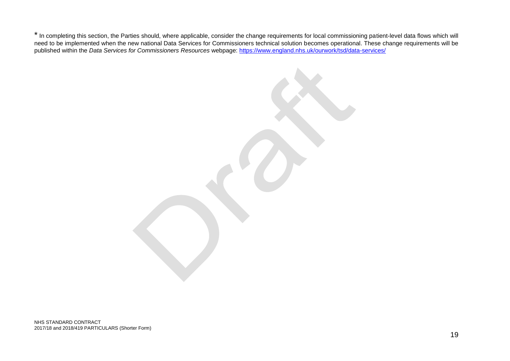\* In completing this section, the Parties should, where applicable, consider the change requirements for local commissioning patient-level data flows which will need to be implemented when the new national Data Services for Commissioners technical solution becomes operational. These change requirements will be published within the *Data Services for Commissioners Resources* webpage: <https://www.england.nhs.uk/ourwork/tsd/data-services/>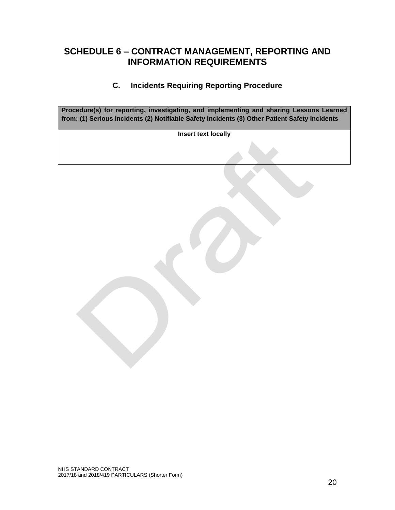# **SCHEDULE 6 – CONTRACT MANAGEMENT, REPORTING AND INFORMATION REQUIREMENTS**

#### **C. Incidents Requiring Reporting Procedure**

**Procedure(s) for reporting, investigating, and implementing and sharing Lessons Learned from: (1) Serious Incidents (2) Notifiable Safety Incidents (3) Other Patient Safety Incidents**

**Insert text locally**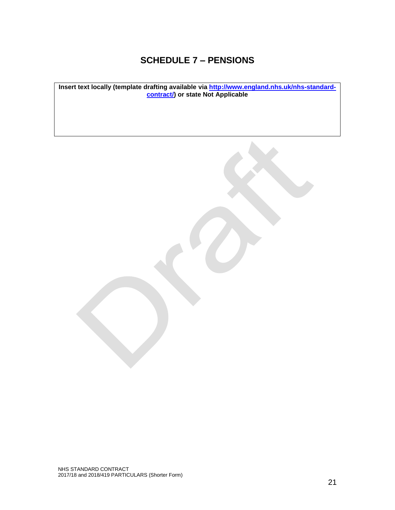# **SCHEDULE 7 – PENSIONS**

**Insert text locally (template drafting available via [http://www.england.nhs.uk/nhs-standard](http://www.england.nhs.uk/nhs-standard-contract/)[contract/\)](http://www.england.nhs.uk/nhs-standard-contract/) or state Not Applicable**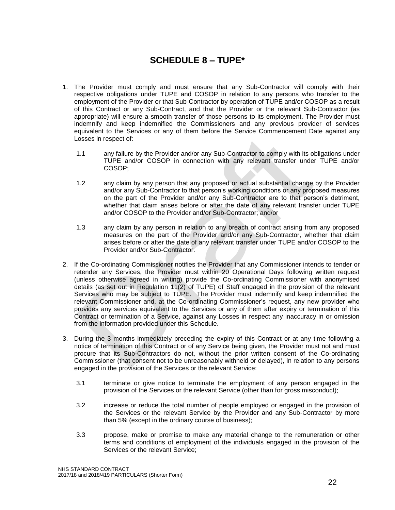# **SCHEDULE 8 – TUPE\***

- 1. The Provider must comply and must ensure that any Sub-Contractor will comply with their respective obligations under TUPE and COSOP in relation to any persons who transfer to the employment of the Provider or that Sub-Contractor by operation of TUPE and/or COSOP as a result of this Contract or any Sub-Contract, and that the Provider or the relevant Sub-Contractor (as appropriate) will ensure a smooth transfer of those persons to its employment. The Provider must indemnify and keep indemnified the Commissioners and any previous provider of services equivalent to the Services or any of them before the Service Commencement Date against any Losses in respect of:
	- 1.1 any failure by the Provider and/or any Sub-Contractor to comply with its obligations under TUPE and/or COSOP in connection with any relevant transfer under TUPE and/or COSOP;
	- 1.2 any claim by any person that any proposed or actual substantial change by the Provider and/or any Sub-Contractor to that person's working conditions or any proposed measures on the part of the Provider and/or any Sub-Contractor are to that person's detriment, whether that claim arises before or after the date of any relevant transfer under TUPE and/or COSOP to the Provider and/or Sub-Contractor; and/or
	- 1.3 any claim by any person in relation to any breach of contract arising from any proposed measures on the part of the Provider and/or any Sub-Contractor, whether that claim arises before or after the date of any relevant transfer under TUPE and/or COSOP to the Provider and/or Sub-Contractor.
- 2. If the Co-ordinating Commissioner notifies the Provider that any Commissioner intends to tender or retender any Services, the Provider must within 20 Operational Days following written request (unless otherwise agreed in writing) provide the Co-ordinating Commissioner with anonymised details (as set out in Regulation 11(2) of TUPE) of Staff engaged in the provision of the relevant Services who may be subject to TUPE. The Provider must indemnify and keep indemnified the relevant Commissioner and, at the Co-ordinating Commissioner's request, any new provider who provides any services equivalent to the Services or any of them after expiry or termination of this Contract or termination of a Service, against any Losses in respect any inaccuracy in or omission from the information provided under this Schedule.
- 3. During the 3 months immediately preceding the expiry of this Contract or at any time following a notice of termination of this Contract or of any Service being given, the Provider must not and must procure that its Sub-Contractors do not, without the prior written consent of the Co-ordinating Commissioner (that consent not to be unreasonably withheld or delayed), in relation to any persons engaged in the provision of the Services or the relevant Service:
	- 3.1 terminate or give notice to terminate the employment of any person engaged in the provision of the Services or the relevant Service (other than for gross misconduct);
	- 3.2 increase or reduce the total number of people employed or engaged in the provision of the Services or the relevant Service by the Provider and any Sub-Contractor by more than 5% (except in the ordinary course of business);
	- 3.3 propose, make or promise to make any material change to the remuneration or other terms and conditions of employment of the individuals engaged in the provision of the Services or the relevant Service;